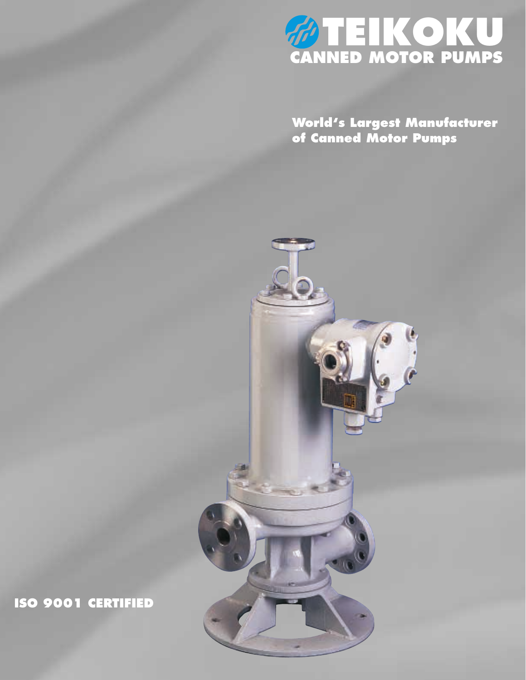

**World's Largest Manufacturer of Canned Motor Pumps**



**ISO 9001 CERTIFIED**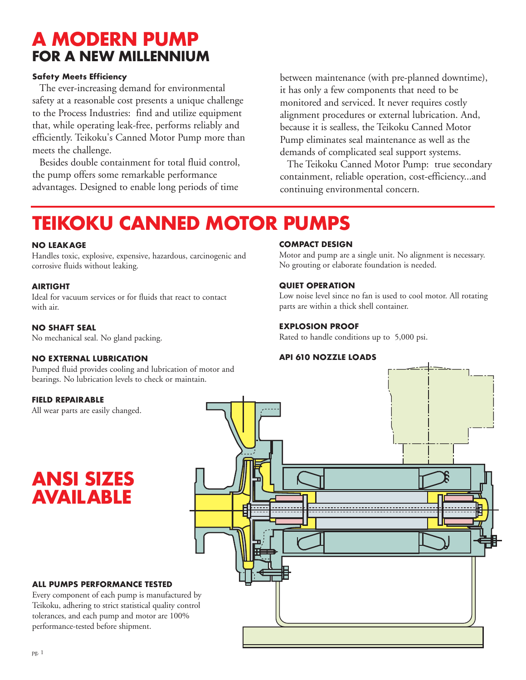# **A MODERN PUMP FOR A NEW MILLENNIUM**

# **Safety Meets Efficiency**

The ever-increasing demand for environmental safety at a reasonable cost presents a unique challenge to the Process Industries: find and utilize equipment that, while operating leak-free, performs reliably and efficiently. Teikoku's Canned Motor Pump more than meets the challenge.

Besides double containment for total fluid control, the pump offers some remarkable performance advantages. Designed to enable long periods of time

between maintenance (with pre-planned downtime), it has only a few components that need to be monitored and serviced. It never requires costly alignment procedures or external lubrication. And, because it is sealless, the Teikoku Canned Motor Pump eliminates seal maintenance as well as the demands of complicated seal support systems.

The Teikoku Canned Motor Pump: true secondary containment, reliable operation, cost-efficiency...and continuing environmental concern.

# **TEIKOKU CANNED MOTOR PUMPS**

### **NO LEAKAGE**

Handles toxic, explosive, expensive, hazardous, carcinogenic and corrosive fluids without leaking.

### **AIRTIGHT**

Ideal for vacuum services or for fluids that react to contact with air.

### **NO SHAFT SEAL**

No mechanical seal. No gland packing.

# **NO EXTERNAL LUBRICATION**

Pumped fluid provides cooling and lubrication of motor and bearings. No lubrication levels to check or maintain.

### **FIELD REPAIRABLE**

All wear parts are easily changed.

**ANSI SIZES AVAILABLE**

### **COMPACT DESIGN**

Motor and pump are a single unit. No alignment is necessary. No grouting or elaborate foundation is needed.

# **QUIET OPERATION**

Low noise level since no fan is used to cool motor. All rotating parts are within a thick shell container.

# **EXPLOSION PROOF**

Rated to handle conditions up to 5,000 psi.

### **API 610 NOZZLE LOADS**



**ALL PUMPS PERFORMANCE TESTED** Every component of each pump is manufactured by Teikoku, adhering to strict statistical quality control tolerances, and each pump and motor are 100% performance-tested before shipment.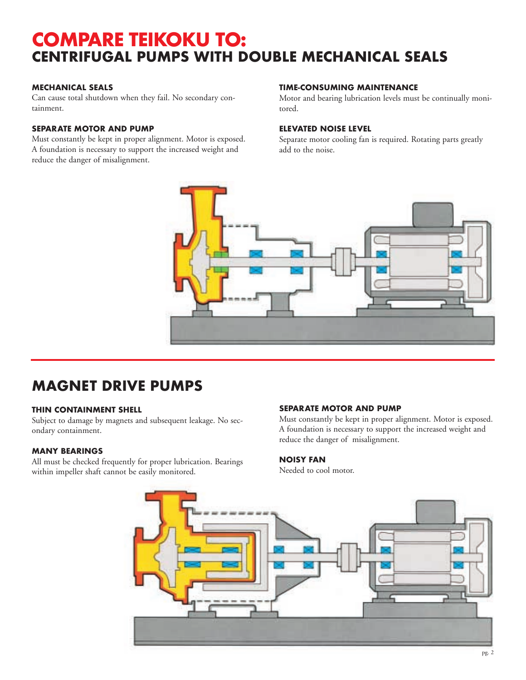# **COMPARE TEIKOKU TO: CENTRIFUGAL PUMPS WITH DOUBLE MECHANICAL SEALS**

# **MECHANICAL SEALS**

Can cause total shutdown when they fail. No secondary containment.

# **SEPARATE MOTOR AND PUMP**

Must constantly be kept in proper alignment. Motor is exposed. A foundation is necessary to support the increased weight and reduce the danger of misalignment.

### **TIME-CONSUMING MAINTENANCE**

Motor and bearing lubrication levels must be continually monitored.

### **ELEVATED NOISE LEVEL**

Separate motor cooling fan is required. Rotating parts greatly add to the noise.



# **MAGNET DRIVE PUMPS**

# **THIN CONTAINMENT SHELL**

Subject to damage by magnets and subsequent leakage. No secondary containment.

# **MANY BEARINGS**

All must be checked frequently for proper lubrication. Bearings within impeller shaft cannot be easily monitored.

### **SEPARATE MOTOR AND PUMP**

Must constantly be kept in proper alignment. Motor is exposed. A foundation is necessary to support the increased weight and reduce the danger of misalignment.

# **NOISY FAN**

Needed to cool motor.

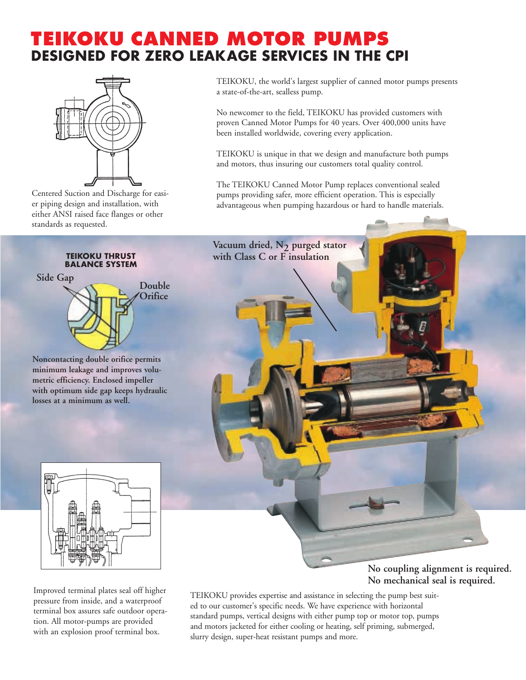# **TEIKOKU CANNED MOTOR PUMPS DESIGNED FOR ZERO LEAKAGE SERVICES IN THE CPI**



Centered Suction and Discharge for easier piping design and installation, with either ANSI raised face flanges or other standards as requested.

### **TEIKOKU THRUST BALANCE SYSTEM**



**Noncontacting double orifice permits minimum leakage and improves volumetric efficiency. Enclosed impeller with optimum side gap keeps hydraulic losses at a minimum as well.**



Improved terminal plates seal off higher pressure from inside, and a waterproof terminal box assures safe outdoor operation. All motor-pumps are provided with an explosion proof terminal box.

TEIKOKU, the world's largest supplier of canned motor pumps presents a state-of-the-art, sealless pump.

No newcomer to the field, TEIKOKU has provided customers with proven Canned Motor Pumps for 40 years. Over 400,000 units have been installed worldwide, covering every application.

TEIKOKU is unique in that we design and manufacture both pumps and motors, thus insuring our customers total quality control.

The TEIKOKU Canned Motor Pump replaces conventional sealed pumps providing safer, more efficient operation. This is especially advantageous when pumping hazardous or hard to handle materials.



**No coupling alignment is required. No mechanical seal is required.**

TEIKOKU provides expertise and assistance in selecting the pump best suited to our customer's specific needs. We have experience with horizontal standard pumps, vertical designs with either pump top or motor top, pumps and motors jacketed for either cooling or heating, self priming, submerged, slurry design, super-heat resistant pumps and more.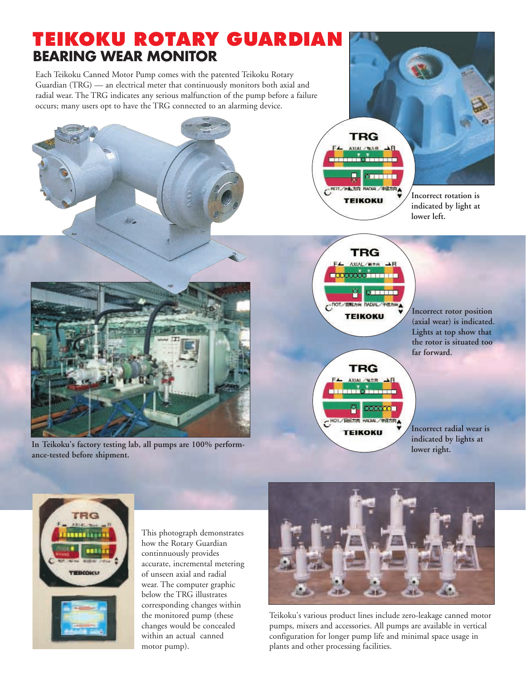



This photograph demonstrates how the Rotary Guardian continnuously provides accurate, incremental metering of unseen axial and radial wear. The computer graphic below the TRG illustrates corresponding changes within the monitored pump (these changes would be concealed within an actual canned motor pump).



Teikoku's various product lines include zero-leakage canned motor pumps, mixers and accessories. All pumps are available in vertical configuration for longer pump life and minimal space usage in plants and other processing facilities.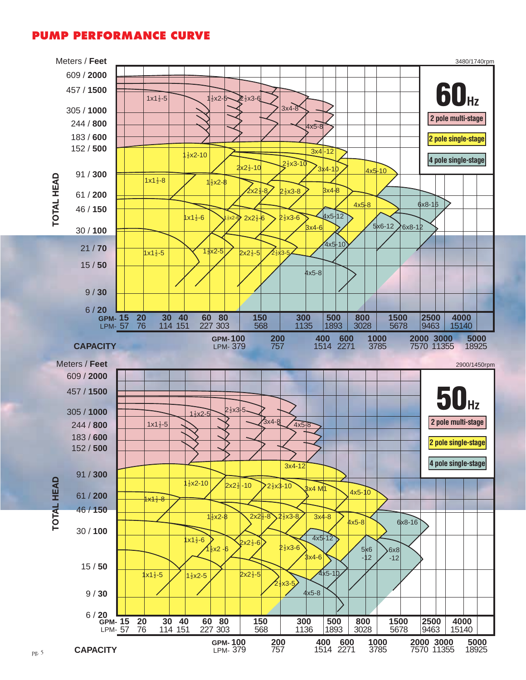# **PUMP PERFORMANCE CURVE**

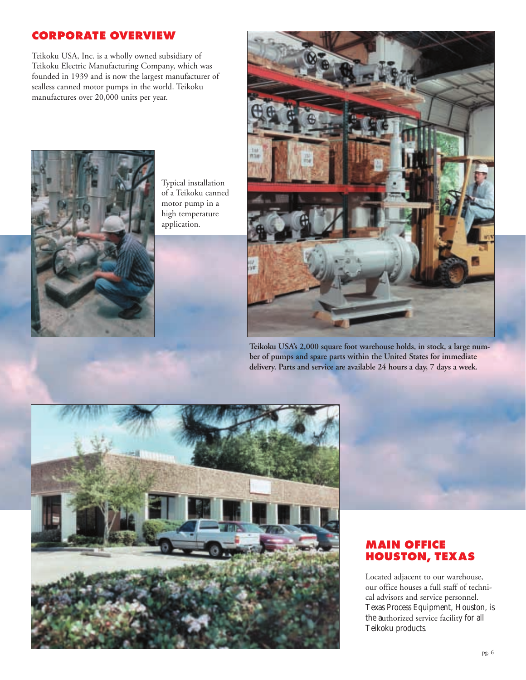# **CORPORATE OVERVIEW**

Teikoku USA, Inc. is a wholly owned subsidiary of Teikoku Electric Manufacturing Company, which was founded in 1939 and is now the largest manufacturer of sealless canned motor pumps in the world. Teikoku manufactures over 20,000 units per year.



Typical installation of a Teikoku canned motor pump in a high temperature application.



**Teikoku USA's 2,000 square foot warehouse holds, in stock, a large number of pumps and spare parts within the United States for immediate delivery. Parts and service are available 24 hours a day, 7 days a week.**



# **MAIN OFFICE HOUSTON, TEXAS**

Located adjacent to our warehouse, our office houses a full staff of technical advisors and service personnel. Texas Process Equipment, Houston, is the authorized service facility for all Teikoku products.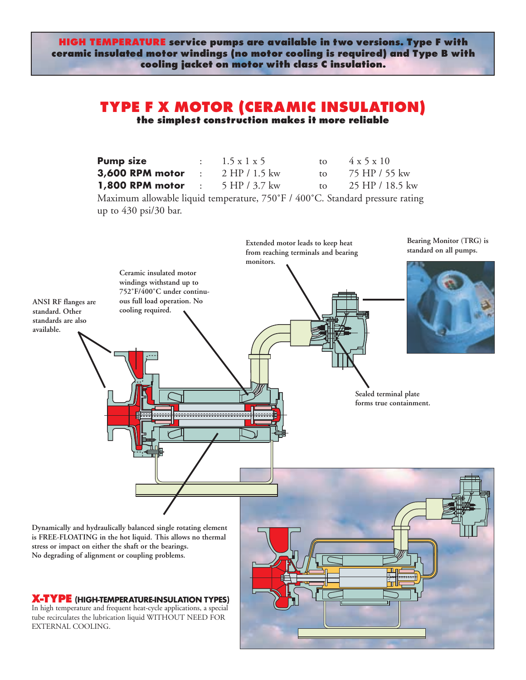**HIGH TEMPERATURE service pumps are available in two versions. Type F with ceramic insulated motor windings (no motor cooling is required) and Type B with cooling jacket on motor with class C insulation.**

# **TYPE F X MOTOR (CERAMIC INSULATION) the simplest construction makes it more reliable**

| <b>Pump size</b>         | $1.5 \times 1 \times 5$ | $\mathsf{to}$ | 4 x 5 x 10      |
|--------------------------|-------------------------|---------------|-----------------|
| <b>3,600 RPM motor</b>   | $2$ HP $/$ 1.5 kw       | to to         | 75 HP / 55 kw   |
| <b>1,800 RPM motor :</b> | 5 HP / 3.7 kw           | $\mathsf{to}$ | 25 HP / 18.5 kw |

Maximum allowable liquid temperature, 750°F / 400°C. Standard pressure rating up to 430 psi/30 bar.

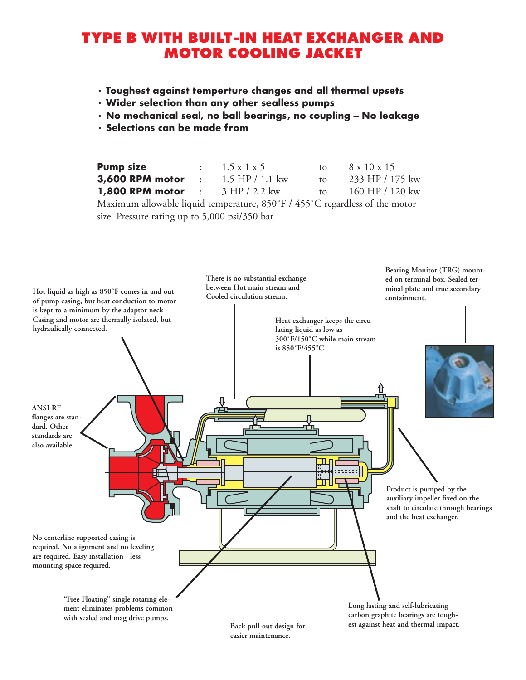# **TYPE B WITH BUILT-IN HEAT EXCHANGER AND MOTOR COOLING JACKET**

- **Toughest against temperture changes and all thermal upsets**
- **Wider selection than any other sealless pumps**
- **No mechanical seal, no ball bearings, no coupling -- No leakage**
- **Selections can be made from**

| <b>Pump size</b>                                         | $\therefore$ 1.5 x 1 x 5 |                              | to $8 \times 10 \times 15$ |
|----------------------------------------------------------|--------------------------|------------------------------|----------------------------|
| <b>3,600 RPM motor</b> : $1.5$ HP / 1.1 kw               |                          | $\mathsf{to}$                | 233 HP / 175 kw            |
| <b>1,800 RPM motor</b> : $3 \text{ HP} / 2.2 \text{ kw}$ |                          | $\mathsf{f} \mathsf{\Omega}$ | $160$ HP $/ 120$ kw        |
|                                                          |                          |                              |                            |

Maximum allowable liquid temperature, 850˚F / 455˚C regardless of the motor size. Pressure rating up to 5,000 psi/350 bar.

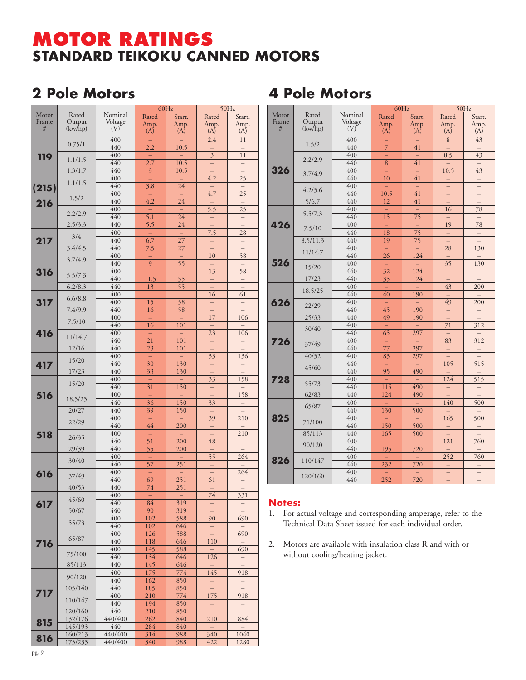# **MOTOR RATINGS STANDARD TEIKOKU CANNED MOTORS**

# **2 Pole Motors 4 Pole Motors**

|            |         |         |                  | 60Hz                     |                           | 50Hz                     |
|------------|---------|---------|------------------|--------------------------|---------------------------|--------------------------|
| Motor      | Rated   | Nominal | Rated            | Start.                   | Rated                     | Start.                   |
| Frame      | Output  | Voltage | Amp.             | Amp.                     | Amp.                      | Amp.                     |
| #          | (kw/hp) | (V)     | (A)              | (A)                      | (A)                       | (A)                      |
|            |         |         |                  |                          |                           |                          |
|            | 0.75/1  | 400     |                  |                          | 2.4                       | 11                       |
|            |         | 440     | $\overline{2.2}$ | $\overline{10.5}$        |                           |                          |
| <b>119</b> |         | 400     |                  |                          | $\overline{\overline{3}}$ | 11                       |
|            | 1.1/1.5 | 440     | $\overline{2.7}$ | 10.5                     | ÷,                        | $\overline{\phantom{0}}$ |
|            | 1.3/1.7 | 440     | $\overline{3}$   | 10.5                     |                           |                          |
|            |         | 400     |                  |                          | 4.2                       | $\overline{25}$          |
|            | 1.1/1.5 | 440     | 3.8              | 24                       |                           |                          |
| (215)      |         |         |                  |                          |                           |                          |
|            | 1.5/2   | 400     |                  |                          | 4.7                       | $\overline{25}$          |
| 216        |         | 440     | $\overline{4.2}$ | $\overline{24}$          |                           |                          |
|            | 2.2/2.9 | 400     | $\equiv$         |                          | $\overline{5.5}$          | $\overline{25}$          |
|            |         | 440     | $\overline{5.1}$ | $\overline{24}$          |                           |                          |
|            | 2.5/3.3 | 440     | $\overline{5.5}$ | 24                       |                           | $\overline{a}$           |
|            |         | 400     | -                | $\overline{\phantom{0}}$ | 7.5                       | 28                       |
| 217        | 3/4     | 440     | $\overline{6.7}$ | $\overline{27}$          | -                         | $\overline{\phantom{0}}$ |
|            | 3.4/4.5 | 440     | 7.5              | 27                       |                           |                          |
|            |         | 400     |                  |                          | 10                        | 58                       |
|            | 3.7/4.9 |         | ÷                |                          |                           |                          |
|            |         | 440     | $\overline{9}$   | $\overline{55}$          |                           |                          |
| 316        | 5.5/7.3 | 400     |                  | -                        | $\overline{13}$           | $\overline{58}$          |
|            |         | 440     | 11.5             | $\overline{55}$          |                           |                          |
|            | 6.2/8.3 | 440     | 13               | $\overline{55}$          |                           | $\overline{a}$           |
|            | 6.6/8.8 | 400     |                  |                          | 16                        | 61                       |
| 317        |         | 400     | 15               | 58                       | $\overline{\phantom{0}}$  | $\overline{\phantom{0}}$ |
|            | 7.4/9.9 | 440     | 16               | 58                       |                           |                          |
|            |         | 400     |                  |                          | $\overline{17}$           | 106                      |
|            | 7.5/10  | 440     | 16               | 101                      |                           |                          |
| 416        |         | 400     | $\equiv$         |                          | 23                        | 106                      |
|            | 11/14.7 | 440     | 21               | 101                      |                           |                          |
|            | 12/16   | 440     | $\overline{23}$  | 101                      |                           |                          |
|            |         | 400     |                  |                          | 33                        | 136                      |
|            | 15/20   | 440     |                  | $\overline{130}$         |                           |                          |
| 417        |         |         | $\overline{30}$  |                          | —                         | $\qquad \qquad -$        |
|            | 17/23   | 440     | 33               | 130                      |                           |                          |
|            | 15/20   | 400     | -                |                          | 33                        | 158                      |
|            |         | 440     | $\overline{31}$  | 150                      |                           |                          |
| 516        | 18.5/25 | 400     | ÷                |                          |                           | 158                      |
|            |         | 440     | 36               | 150                      | 33                        |                          |
|            | 20/27   | 440     | 39               | 150                      |                           |                          |
|            |         | 400     | -                |                          | 39                        | 210                      |
|            | 22/29   | 440     | 44               | 200                      | —                         |                          |
|            |         | 400     | -                |                          |                           | 210                      |
| 518        | 26/35   | 440     | $\overline{51}$  | 200                      | 48                        | $\overline{\phantom{0}}$ |
|            | 29/39   | 440     |                  | 200                      |                           |                          |
|            |         | 400     | 55               |                          |                           |                          |
|            | 30/40   |         | ÷                |                          | $\overline{55}$           | 264                      |
|            |         | 440     | $\overline{57}$  | 251                      |                           |                          |
| 616        | 37/49   | 400     |                  |                          | $\equiv$                  | 264                      |
|            |         | 440     | $\overline{69}$  | $\frac{251}{ }$          | 61                        |                          |
|            | 40/53   | 440     | 74               | $\overline{251}$         |                           |                          |
|            |         | 400     |                  |                          | 74                        | 331                      |
| 617        | 45/60   | 440     | 84               | 319                      | -                         | $\qquad \qquad -$        |
|            | 50/67   | 440     | 90               | 319                      |                           |                          |
|            |         | 400     | 102              | 588                      | 90                        | 690                      |
|            | 55/73   | 440     | 102              | 646                      | -                         | $\qquad \qquad -$        |
|            |         | 400     | 126              | 588                      | ÷,                        | 690                      |
|            | 65/87   | 440     | 118              | 646                      | 110                       |                          |
| 716        |         | 400     | 145              | 588                      |                           | 690                      |
|            | 75/100  | 440     | 134              | 646                      | 126                       |                          |
|            |         | 440     |                  |                          |                           |                          |
|            | 85/113  |         | 145              | 646                      | Ξ                         | $\qquad \qquad -$        |
|            | 90/120  | 400     | 175              | 774                      | 145                       | 918                      |
|            |         | 440     | 162              | 850                      | -                         | $\qquad \qquad -$        |
| 717        | 105/140 | 440     | 185              | 850                      | —                         |                          |
|            | 110/147 | 400     | 210              | 774                      | 175                       | 918                      |
|            |         | 440     | 194              | 850                      | -                         | $\qquad \qquad -$        |
|            | 120/160 | 440     | 210              | 850                      | $\overline{a}$            | $\frac{1}{2}$            |
|            | 132/176 | 440/400 | 262              | 840                      | 210                       | 884                      |
| 815        | 145/193 | 440     | 284              | 840                      | $\overline{\phantom{m}}$  |                          |
|            | 160/213 | 440/400 | 314              | 988                      | 340                       | 1040                     |
| 816        | 175/233 | 440/400 | 340              | 988                      | 422                       | 1280                     |
|            |         |         |                  |                          |                           |                          |

|       |          |                  | 60Hz             |                 |                          | 50Hz                     |
|-------|----------|------------------|------------------|-----------------|--------------------------|--------------------------|
| Motor | Rated    | Nominal          | Rated            | Start.          | Rated                    | Start.                   |
| Frame | Output   | Voltage          | Amp.             | Amp.            | Amp.                     | Amp.                     |
| #     | (kw/hp)  | (V)              | (A)              | (A)             | (A)                      | (A)                      |
|       |          | 400              |                  | $\equiv$        | 8                        | 43                       |
|       | 1.5/2    | 440              | $\overline{7}$   | 41              |                          |                          |
|       |          | 400              |                  |                 | 8.5                      | 43                       |
|       | 2.2/2.9  | 440              | $\,8\,$          | 41              |                          | $\equiv$                 |
| 326   | 3.7/4.9  | 400              | ÷,               | ÷,              | 10.5                     | 43                       |
|       |          | 440              | 10               | 41              | ÷,                       | $\overline{\phantom{0}}$ |
|       |          | 400              |                  |                 | $\equiv$                 | -                        |
|       | 4.2/5.6  | 440              | 10.5             | $\overline{41}$ | ÷                        | $\overline{\phantom{0}}$ |
|       | 5/6.7    | 440              | 12               | 41              | $\qquad \qquad -$        | $\qquad \qquad -$        |
|       |          | 400              | ÷,               | $\equiv$        | 16                       | 78                       |
|       | 5.5/7.3  | 440              | $\overline{15}$  | $\overline{75}$ |                          | $\qquad \qquad -$        |
| 426   |          | 400              | ÷,               |                 | 19                       | 78                       |
|       | 7.5/10   | 440              | 18               | $\overline{75}$ | $\equiv$                 | $\qquad \qquad -$        |
|       | 8.5/11.3 | 440              | 19               | $\overline{75}$ | $\equiv$                 | $\equiv$                 |
|       |          | 400              |                  |                 | 28                       | 130                      |
|       | 11/14.7  | 440              | $\overline{26}$  | 124             |                          |                          |
| 526   | 15/20    | 400              |                  |                 | 35                       | 130                      |
|       |          | 440              | $\overline{32}$  | 124             | $\equiv$                 | $\equiv$                 |
|       | 17/23    | 440              | 35               | 124             |                          |                          |
|       | 18.5/25  | 400              |                  |                 | 43                       | 200                      |
|       |          | 440              | 40               | 190             |                          |                          |
| 626   | 22/29    | 400              |                  |                 | 49                       | 200                      |
|       |          | 440              | 45               | 190             | $\overline{\phantom{0}}$ | $\overline{\phantom{0}}$ |
|       | 25/33    | 440              | 49               | 190             | —                        |                          |
|       | 30/40    | 400              | ÷,               |                 | $\overline{71}$          | 312                      |
|       |          | 440              | 65               | 297             | $\equiv$                 | $\overline{\phantom{0}}$ |
| 726   | 37/49    | 400              | ÷,               | $\equiv$        | 83                       | 312                      |
|       |          | 440              | 77               | 297             | $\qquad \qquad -$        | —                        |
|       | 40/52    | $\overline{400}$ | 83               | 297             |                          |                          |
|       |          | 440              |                  | $\equiv$        | 105                      | 515                      |
|       | 45/60    | 440              | 95               | 490             |                          |                          |
| 728   |          | 400              |                  |                 | 124                      | 515                      |
|       | 55/73    | 440              | 115              | 490             |                          |                          |
|       | 62/83    | 440              | 124              | 490             | $\equiv$                 | $\equiv$                 |
|       | 65/87    | 400              |                  |                 | 140                      | 500                      |
|       |          | 440              | 130              | 500             |                          | $\equiv$                 |
| 825   |          | 400              |                  |                 | 165                      | 500                      |
|       | 71/100   | 440              | 150              | 500             | $\equiv$                 | $\equiv$                 |
|       | 85/113   | 440              | 165              | 500             |                          |                          |
|       | 90/120   | 400              |                  | $\equiv$        | $\overline{121}$         | 760                      |
|       |          | 440              | $\overline{195}$ | 720             | $\qquad \qquad -$        |                          |
|       | 110/147  | 400              |                  |                 | $\overline{252}$         | 760                      |
| 826   |          | 440              | 232              | 720             | -                        | $\qquad \qquad -$        |
|       |          | 400              |                  |                 | $\equiv$                 | $\equiv$                 |
|       | 120/160  | 440              | $\frac{252}{ }$  | 720             | $\equiv$                 |                          |

# **Notes:**

- 1. For actual voltage and corresponding amperage, refer to the Technical Data Sheet issued for each individual order.
- 2. Motors are available with insulation class R and with or without cooling/heating jacket.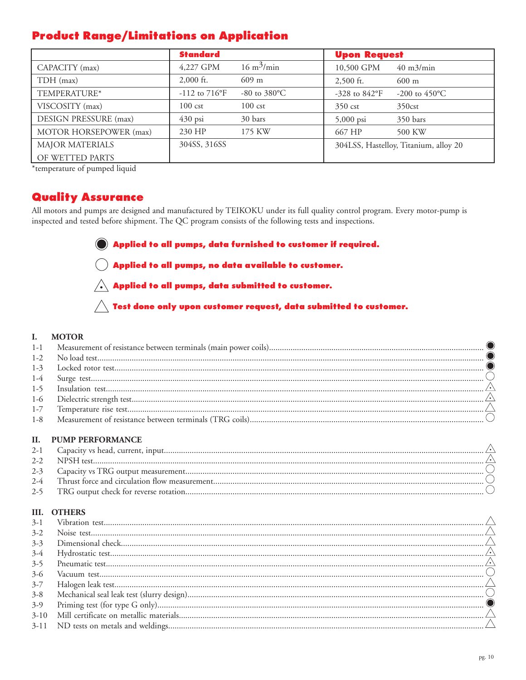# **Product Range/Limitations on Application**

|                              | <b>Standard</b>          |                             | <b>Upon Request</b>    |                                       |  |
|------------------------------|--------------------------|-----------------------------|------------------------|---------------------------------------|--|
| CAPACITY (max)               | 4,227 GPM                | $16 \text{ m}^3/\text{min}$ | 10,500 GPM             | $40 \text{ m}$ 3/min                  |  |
| TDH (max)                    | $2,000$ ft.              | $609 \text{ m}$             | $2,500$ ft.            | $600 \text{ m}$                       |  |
| TEMPERATURE*                 | $-112$ to $716^{\circ}F$ | $-80$ to $380^{\circ}$ C    | -328 to $842^{\circ}F$ | -200 to $450^{\circ}$ C               |  |
| VISCOSITY (max)              | $100 \text{ cst}$        | $100 \text{ cst}$           | $350 \text{ cst}$      | 350 <sub>cst</sub>                    |  |
| <b>DESIGN PRESSURE (max)</b> | $430$ psi                | 30 bars                     | $5,000$ psi            | 350 bars                              |  |
| MOTOR HORSEPOWER (max)       | 230 HP                   | 175 KW                      | 667 HP                 | 500 KW                                |  |
| <b>MAJOR MATERIALS</b>       | 304SS, 316SS             |                             |                        | 304LSS, Hastelloy, Titanium, alloy 20 |  |
| OF WETTED PARTS              |                          |                             |                        |                                       |  |

\*temperature of pumped liquid

# **Quality Assurance**

All motors and pumps are designed and manufactured by TEIKOKU under its full quality control program. Every motor-pump is inspected and tested before shipment. The QC program consists of the following tests and inspections.

Applied to all pumps, data furnished to customer if required.

 $\overline{(\phantom{a})}$  Applied to all pumps, no data available to customer.

 $\bigwedge$  Applied to all pumps, data submitted to customer.

 $\bigwedge$  Test done only upon customer request, data submitted to customer.

### I. **MOTOR**

### **PUMP PERFORMANCE** II.

# **III. OTHERS**

| $3-2$    |  |
|----------|--|
| $3 - 3$  |  |
| $3-4$    |  |
| $3 - 5$  |  |
| $3-6$    |  |
| $3 - 7$  |  |
| $3 - 8$  |  |
| $3-9$    |  |
| $3 - 10$ |  |
| $3-11$   |  |
|          |  |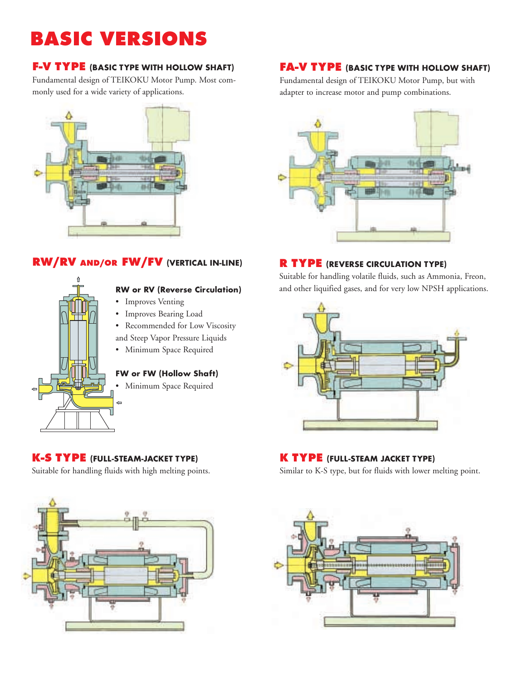# **BASIC VERSIONS**

# **F-V TYPE (BASIC TYPE WITH HOLLOW SHAFT)**

Fundamental design of TEIKOKU Motor Pump. Most commonly used for a wide variety of applications.



# **RW/RV AND/OR FW/FV (VERTICAL IN-LINE) R TYPE (REVERSE CIRCULATION TYPE)**



# **RW or RV (Reverse Circulation)**

- Improves Venting
- Improves Bearing Load
- Recommended for Low Viscosity
- and Steep Vapor Pressure Liquids
- Minimum Space Required

# **FW or FW (Hollow Shaft)**

• Minimum Space Required

# **K-S TYPE (FULL-STEAM-JACKET TYPE)**

Suitable for handling fluids with high melting points.



# **FA-V TYPE (BASIC TYPE WITH HOLLOW SHAFT)**

Fundamental design of TEIKOKU Motor Pump, but with adapter to increase motor and pump combinations.



Suitable for handling volatile fluids, such as Ammonia, Freon, and other liquified gases, and for very low NPSH applications.



# **K TYPE (FULL-STEAM JACKET TYPE)**

Similar to K-S type, but for fluids with lower melting point.

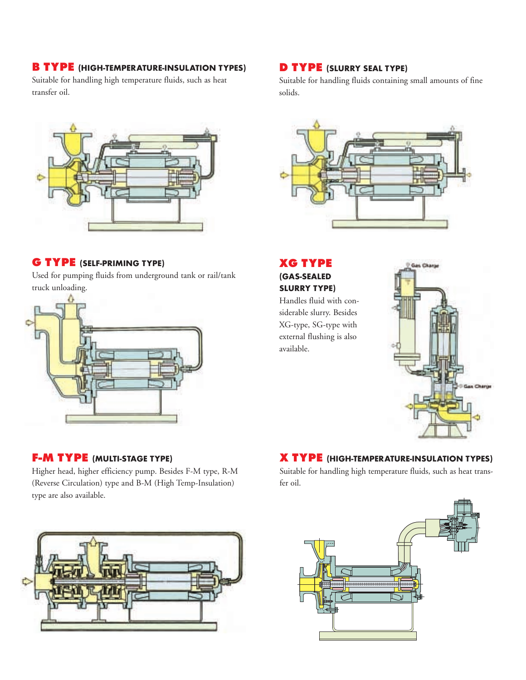# **B TYPE (HIGH-TEMPERATURE-INSULATION TYPES)**

Suitable for handling high temperature fluids, such as heat transfer oil.



# **G TYPE (SELF-PRIMING TYPE)**

Used for pumping fluids from underground tank or rail/tank truck unloading.



# **F-M TYPE (MULTI-STAGE TYPE)**

Higher head, higher efficiency pump. Besides F-M type, R-M (Reverse Circulation) type and B-M (High Temp-Insulation) type are also available.



# **D TYPE (SLURRY SEAL TYPE)**

Suitable for handling fluids containing small amounts of fine solids.



# **XG TYPE (GAS-SEALED SLURRY TYPE)**

Handles fluid with considerable slurry. Besides XG-type, SG-type with external flushing is also available.



# **X TYPE (HIGH-TEMPERATURE-INSULATION TYPES)**

Suitable for handling high temperature fluids, such as heat transfer oil.

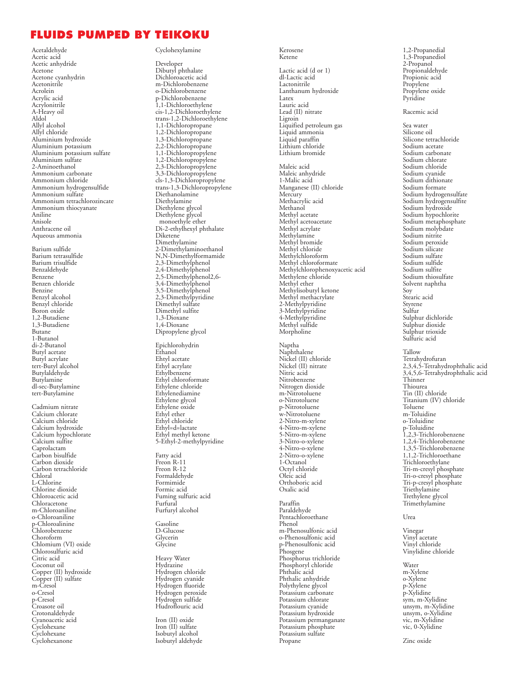# **FLUIDS PUMPED BY TEIKOKU**

Acetaldehyde Acetic acid Acetic anhydride Acetone Acetone cyanhydrin Acetonitrile Acrolein Acrylic acid Acrylonitrile A-Heavy oil Aldol Allyl alcohol Allyl chloride Aluminium hydroxide Aluminium potassium Aluminium potassium sulfate Aluminium sulfate 2-Aminoethanol Ammonium carbonate Ammonium chloride Ammonium hydrogensulfide Ammonium sulfate Ammonium tetrachlorozincate Ammonium thiocyanate Aniline Anisole Anthracene oil Aqueous ammonia Barium sulfide Barium tetrasulfide Barium trisulfide Benzaldehyde Benzene Benzen chloride Benzine Benzyl alcohol Benzyl chloride Boron oxide 1,2-Butadiene 1,3-Butadiene Butane 1-Butanol di-2-Butanol Butyl acetate Butyl acrylate tert-Butyl alcohol Butylaldehyde Butylamine dl-sec-Butylamine tert-Butylamine

Cadmium nitrate Calcium chlorate Calcium chloride Calcium hydroxide Calcium hypochlorate Calcium sulfite Caprolactam Carbon bisulfide Carbon dioxide Carbon tetrachloride Chloral L-Chlorine Chlorine dioxide Chloroacetic acid Chloracetone m-Chloroaniline o-Chloroaniline p-Chloroalinine Chlorobenzene Choroform Chlomium (VI) oxide Chlorosulfuric acid Citric acid Coconut oil Copper (II) hydroxide Copper (II) sulfate m-Cresol o-Cresol p-Cresol Croasote oil Crotonaldehyde Cyanoacetic acid **Cyclohexane Cyclohexane** Cyclohexanone

### Cyclohexylamine

Developer Dibutyl phthalate Dichloroacetic acid m-Dichlorobenzene o-Dichlorobenzene p-Dichlorobenzene 1,1-Dichloroethylene cis-1,2-Dichloroethylene trans-1,2-Dichloroethylene 1,1-Dichloropropane 1,2-Dichloropropane 1,3-Dichloropropane 2,2-Dichloropropane 1,1-Dichloropropylene 1,2-Dichloropropylene 2,3-Dichloropropylene 3,3-Dichloropropylene cls-1,3-Dichloropropylene trans-1,3-Dichloropropylene Diethanolamine Diethylamine Diethylene glycol Diethylene glycol monoethyle ether Di-2-ethylhexyl phthalate Diketene Dimethylamine 2-Dimethylaminoethanol N,N-Dimethylformamide 2,3-Dimethylphenol 2,4-Dimethylphenol 2,5-Dimethylphenol2,6- 3,4-Dimethylphenol 3,5-Dimethylphenol 2,3-Dimethylpyridine Dimethyl sulfate Dimethyl sulfite 1,3-Dioxane 1,4-Dioxane Dipropylene glycol

Epichlorohydrin Ethanol Ehtyl acetate Ethyl acrylate Ethylbenzene Ethyl chloroformate Ethylene chloride Ethylenediamine Ethylene glycol Ethylene oxide Ethyl ether Ethyl chloride Ethyl=d=lactate Ethyl methyl ketone 5-Ethyl-2-methylpyridine

Fatty acid Freon R-11 Freon R-12 Formaldehyde Formimide Formic acid Fuming sulfuric acid Furfural Furfuryl alcohol

Gasoline D-Glucose Glycerin Glycine

Heavy Water Hydrazine Hydrogen chloride Hydrogen cyanide Hydrogen fluoride Hydrogen peroxide Hydrogen sulfide Hudroflouric acid

Iron (II) oxide Iron (II) sulfate Isobutyl alcohol Isobutyl aldehyde

Kerosene Ketene

Lactic acid (d or 1) dl-Lactic acid Lactonitrile Lanthanum hydroxide **Latex** Lauric acid Lead (II) nitrate Ligroin Liquified petroleum gas Liquid ammonia Liquid paraffin Lithium chloride Lithium bromide Maleic acid

Maleic anhydride 1-Malic acid Manganese (II) chloride Mercury Methacrylic acid Methanol Methyl acetate Methyl acetoacetate Methyl acrylate Methylamine Methyl bromide Methyl chloride Methylchloroform Methyl chloroformate Methylchlorophenoxyacetic acid Methylene chloride Methyl ether Methylisobutyl ketone Methyl methacrylate 2-Methylpyridine 3-Methylpyridine 4-Methylpyridine Methyl sulfide Morpholine

Naptha Naphthalene Nickel (II) chloride Nickel (II) nitrate Nitric acid Nitrobenzene Nitrogen dioxide m-Nitrotoluene o-Nitrotoluene p-Nitrotoluene w-Nitrotoluene 2-Nitro-m-xylene 4-Nitro-m-xylene 5-Nitro-m-xylene 3-Nitro-o-xylene 4-Nitro-o-xylene 2-Nitro-o-xylene 1-Octanol Octyl chloride Oleic acid Orthoboric acid Oxalic acid

Paraffin Paraldehyde Pentachloroethane Phenol m-Phenosulfonic acid o-Phenosulfonic acid p-Phenosulfonic acid Phosgene Phosphorus trichloride Phosphoryl chloride Phthalic acid Phthalic anhydride Polythylene glycol Potassium carbonate Potassium chlorate Potassium cyanide Potassium hydroxide Potassium permanganate Potassium phosphate Potassium sulfate Propane

1,2-Propanedial 1,3-Propanediol 2-Propanol Propionaldehyde Propionic acid Propylene Propylene oxide Pyridine

### Racemic acid

Sea water Silicone oil Silicone tetrachloride Sodium acetate Sodium carbonate Sodium chlorate Sodium chloride Sodium cyanide Sodium dithionate Sodium formate Sodium hydrogensulfate Sodium hydrogensulfite Sodium hydroxide Sodium hypochlorite Sodium metaphosphate Sodium molybdate Sodium nitrite Sodium peroxide Sodium silicate Sodium sulfate Sodium sulfide Sodium sulfite Sodium thiosulfate Solvent naphtha Soy Stearic acid Styrene Sulfur Sulphur dichloride Sulphur dioxide Sulphur trioxide Sulfuric acid Tallow Tetrahydrofuran 2,3,4,5-Tetrahydrophthalic acid 3,4,5,6-Tetrahydrophthalic acid Thinner Thiourea Tin (II) chloride Titanium (IV) chloride Toluene m-Toluidine o-Toluidine p-Toluidine 1,2,3-Trichlorobenzene 1,2,4-Trichlorobenzene 1,3,5-Trichlorobenzene 1,1,2-Trichloroethane Trichloroethylane

Tri-m-cresyl phosphate Tri-o-cresyl phosphate Tri-p-cresyl phosphate Triethylamine Trethylene glycol Trimethylamine

Urea

Vinegar Vinyl acetate Vinyl chloride Vinylidine chloride

Water m-Xylene o-Xylene p-Xylene p-Xylidine sym, m-Xylidine unsym, m-Xylidine unsym, o-Xylidine vic, m-Xylidine vic, 0-Xylidine

Zinc oxide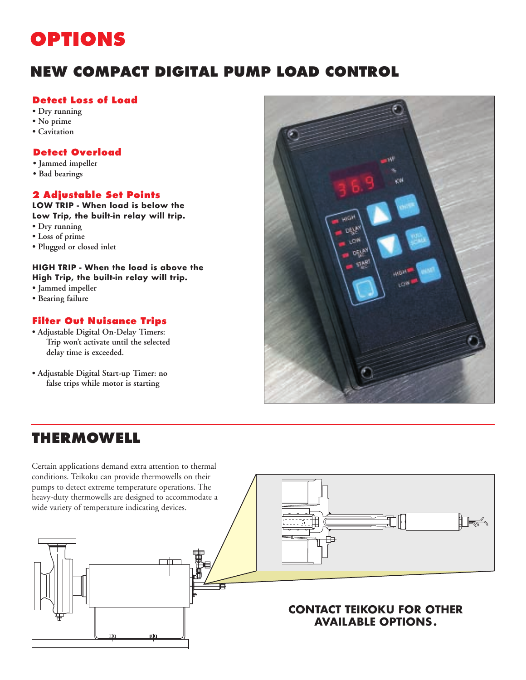# **OPTIONS**

# **NEW COMPACT DIGITAL PUMP LOAD CONTROL**

# **Detect Loss of Load**

- **Dry running**
- **No prime**
- **Cavitation**

# **Detect Overload**

- **Jammed impeller**
- **Bad bearings**

# **2 Adjustable Set Points**

**LOW TRIP - When load is below the Low Trip, the built-in relay will trip.**

- **Dry running**
- **Loss of prime**
- **Plugged or closed inlet**

# **HIGH TRIP - When the load is above the High Trip, the built-in relay will trip.**

- **Jammed impeller**
- **Bearing failure**

# **Filter Out Nuisance Trips**

- **Adjustable Digital On-Delay Timers: Trip won't activate until the selected delay time is exceeded.**
- **Adjustable Digital Start-up Timer: no false trips while motor is starting**



# **THERMOWELL**

Certain applications demand extra attention to thermal conditions. Teikoku can provide thermowells on their pumps to detect extreme temperature operations. The heavy-duty thermowells are designed to accommodate a wide variety of temperature indicating devices.



# **CONTACT TEIKOKU FOR OTHER AVAILABLE OPTIONS.**